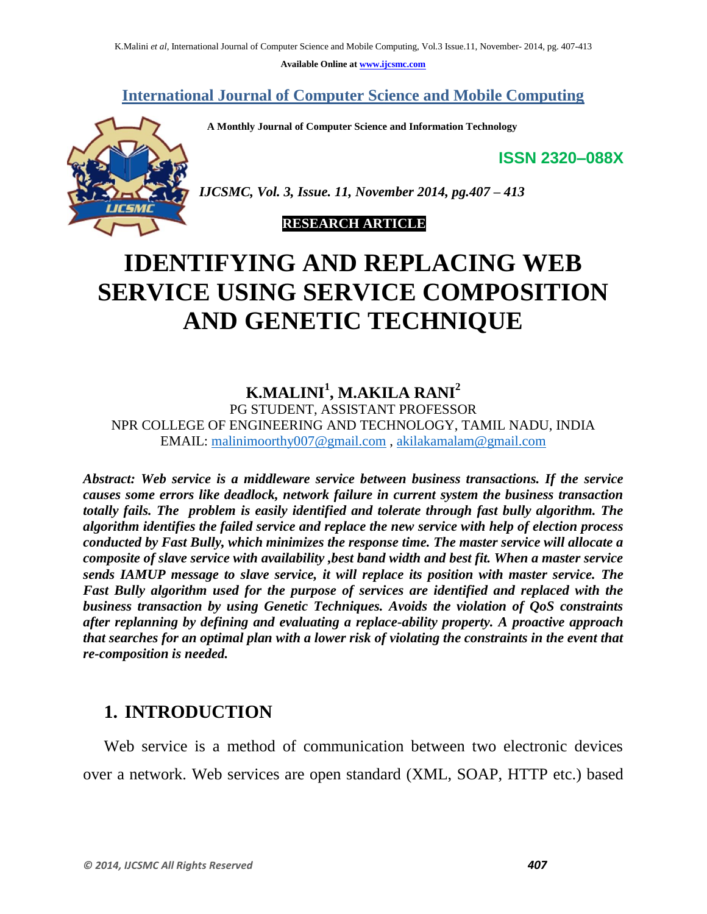**Available Online at www.ijcsmc.com**

**International Journal of Computer Science and Mobile Computing**

 **A Monthly Journal of Computer Science and Information Technology**

**ISSN 2320–088X**



*IJCSMC, Vol. 3, Issue. 11, November 2014, pg.407 – 413*

#### **RESEARCH ARTICLE**

# **IDENTIFYING AND REPLACING WEB SERVICE USING SERVICE COMPOSITION AND GENETIC TECHNIQUE**

## **K.MALINI<sup>1</sup> , M.AKILA RANI<sup>2</sup>**

PG STUDENT, ASSISTANT PROFESSOR NPR COLLEGE OF ENGINEERING AND TECHNOLOGY, TAMIL NADU, INDIA EMAIL: malinimoorthy007@gmail.com , akilakamalam@gmail.com

*Abstract: Web service is a middleware service between business transactions. If the service causes some errors like deadlock, network failure in current system the business transaction totally fails. The problem is easily identified and tolerate through fast bully algorithm. The algorithm identifies the failed service and replace the new service with help of election process conducted by Fast Bully, which minimizes the response time. The master service will allocate a composite of slave service with availability ,best band width and best fit. When a master service sends IAMUP message to slave service, it will replace its position with master service. The Fast Bully algorithm used for the purpose of services are identified and replaced with the business transaction by using Genetic Techniques. Avoids the violation of QoS constraints after replanning by defining and evaluating a replace-ability property. A proactive approach that searches for an optimal plan with a lower risk of violating the constraints in the event that re-composition is needed.*

## **1. INTRODUCTION**

 Web service is a method of communication between two electronic devices over a network. Web services are open standard (XML, SOAP, HTTP etc.) based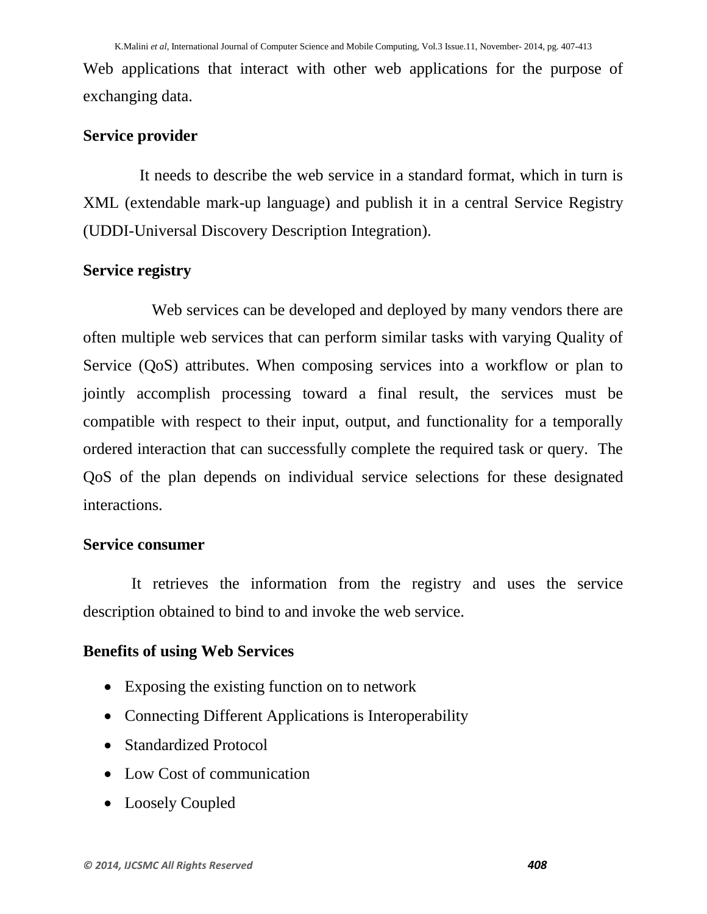Web applications that interact with other web applications for the purpose of exchanging data.

## **Service provider**

 It needs to describe the web service in a standard format, which in turn is XML (extendable mark-up language) and publish it in a central Service Registry (UDDI-Universal Discovery Description Integration).

### **Service registry**

Web services can be developed and deployed by many vendors there are often multiple web services that can perform similar tasks with varying Quality of Service (QoS) attributes. When composing services into a workflow or plan to jointly accomplish processing toward a final result, the services must be compatible with respect to their input, output, and functionality for a temporally ordered interaction that can successfully complete the required task or query. The QoS of the plan depends on individual service selections for these designated interactions.

#### **Service consumer**

It retrieves the information from the registry and uses the service description obtained to bind to and invoke the web service.

## **Benefits of using Web Services**

- Exposing the existing function on to network
- Connecting Different Applications is Interoperability
- Standardized Protocol
- Low Cost of communication
- Loosely Coupled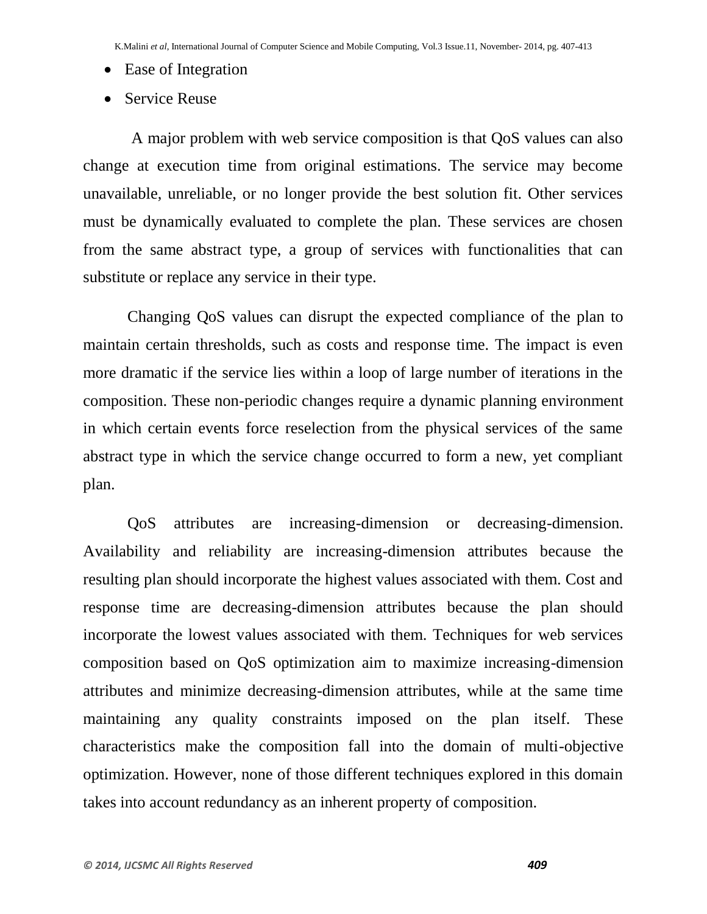- Ease of Integration
- Service Reuse

 A major problem with web service composition is that QoS values can also change at execution time from original estimations. The service may become unavailable, unreliable, or no longer provide the best solution fit. Other services must be dynamically evaluated to complete the plan. These services are chosen from the same abstract type, a group of services with functionalities that can substitute or replace any service in their type.

 Changing QoS values can disrupt the expected compliance of the plan to maintain certain thresholds, such as costs and response time. The impact is even more dramatic if the service lies within a loop of large number of iterations in the composition. These non-periodic changes require a dynamic planning environment in which certain events force reselection from the physical services of the same abstract type in which the service change occurred to form a new, yet compliant plan.

 QoS attributes are increasing-dimension or decreasing-dimension. Availability and reliability are increasing-dimension attributes because the resulting plan should incorporate the highest values associated with them. Cost and response time are decreasing-dimension attributes because the plan should incorporate the lowest values associated with them. Techniques for web services composition based on QoS optimization aim to maximize increasing-dimension attributes and minimize decreasing-dimension attributes, while at the same time maintaining any quality constraints imposed on the plan itself. These characteristics make the composition fall into the domain of multi-objective optimization. However, none of those different techniques explored in this domain takes into account redundancy as an inherent property of composition.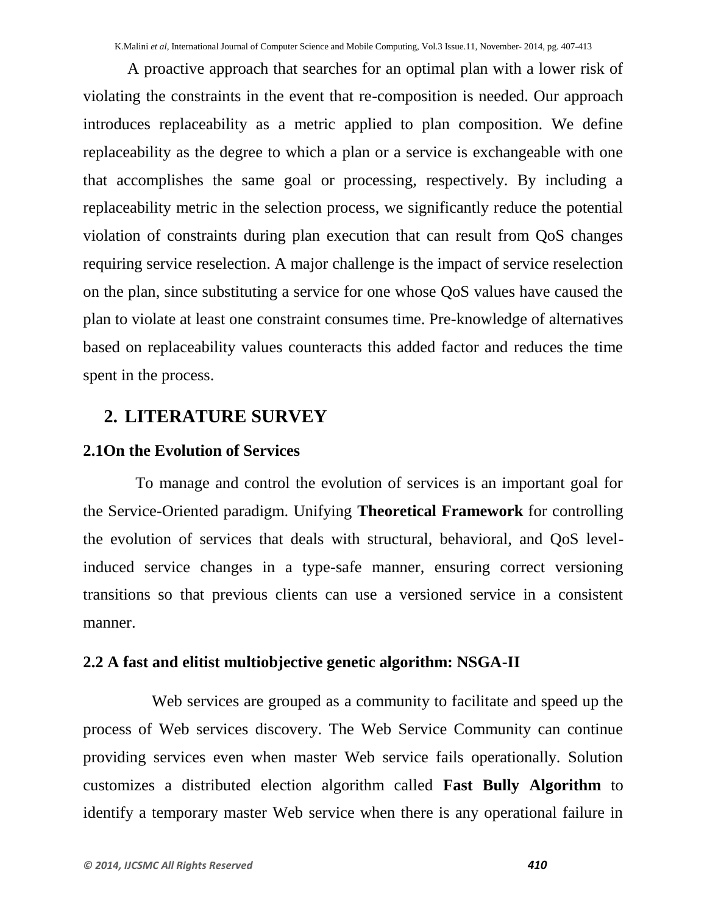A proactive approach that searches for an optimal plan with a lower risk of violating the constraints in the event that re-composition is needed. Our approach introduces replaceability as a metric applied to plan composition. We define replaceability as the degree to which a plan or a service is exchangeable with one that accomplishes the same goal or processing, respectively. By including a replaceability metric in the selection process, we significantly reduce the potential violation of constraints during plan execution that can result from QoS changes requiring service reselection. A major challenge is the impact of service reselection on the plan, since substituting a service for one whose QoS values have caused the plan to violate at least one constraint consumes time. Pre-knowledge of alternatives based on replaceability values counteracts this added factor and reduces the time spent in the process.

## **2. LITERATURE SURVEY**

## **2.1On the Evolution of Services**

To manage and control the evolution of services is an important goal for the Service-Oriented paradigm. Unifying **Theoretical Framework** for controlling the evolution of services that deals with structural, behavioral, and QoS levelinduced service changes in a type-safe manner, ensuring correct versioning transitions so that previous clients can use a versioned service in a consistent manner.

## **2.2 A fast and elitist multiobjective genetic algorithm: NSGA-II**

 Web services are grouped as a community to facilitate and speed up the process of Web services discovery. The Web Service Community can continue providing services even when master Web service fails operationally. Solution customizes a distributed election algorithm called **Fast Bully Algorithm** to identify a temporary master Web service when there is any operational failure in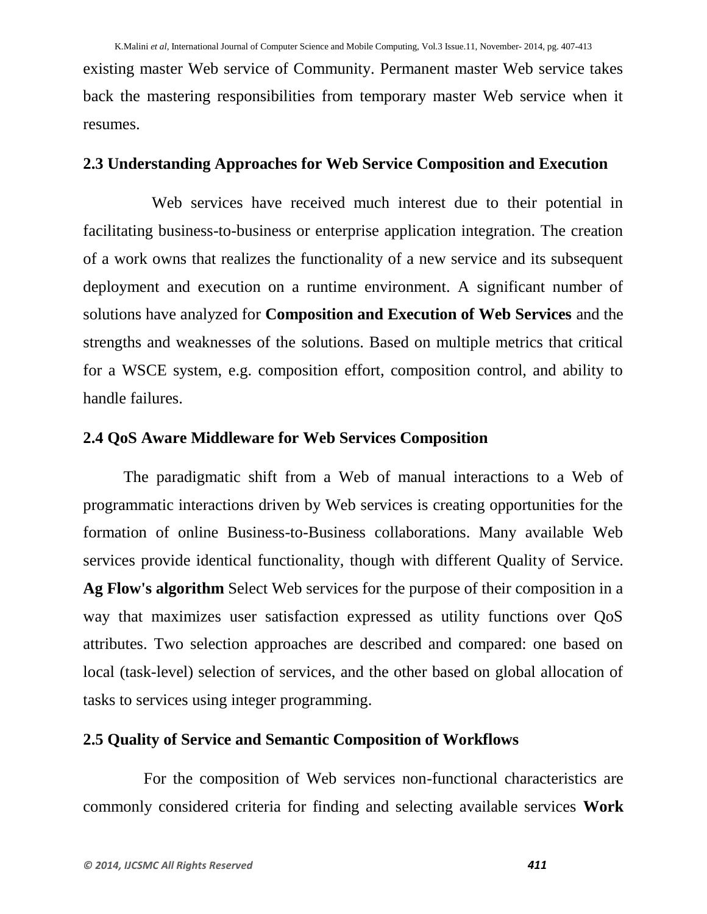existing master Web service of Community. Permanent master Web service takes back the mastering responsibilities from temporary master Web service when it resumes.

### **2.3 Understanding Approaches for Web Service Composition and Execution**

 Web services have received much interest due to their potential in facilitating business-to-business or enterprise application integration. The creation of a work owns that realizes the functionality of a new service and its subsequent deployment and execution on a runtime environment. A significant number of solutions have analyzed for **Composition and Execution of Web Services** and the strengths and weaknesses of the solutions. Based on multiple metrics that critical for a WSCE system, e.g. composition effort, composition control, and ability to handle failures.

### **2.4 QoS Aware Middleware for Web Services Composition**

 The paradigmatic shift from a Web of manual interactions to a Web of programmatic interactions driven by Web services is creating opportunities for the formation of online Business-to-Business collaborations. Many available Web services provide identical functionality, though with different Quality of Service. **Ag Flow's algorithm** Select Web services for the purpose of their composition in a way that maximizes user satisfaction expressed as utility functions over QoS attributes. Two selection approaches are described and compared: one based on local (task-level) selection of services, and the other based on global allocation of tasks to services using integer programming.

## **2.5 Quality of Service and Semantic Composition of Workflows**

 For the composition of Web services non-functional characteristics are commonly considered criteria for finding and selecting available services **Work**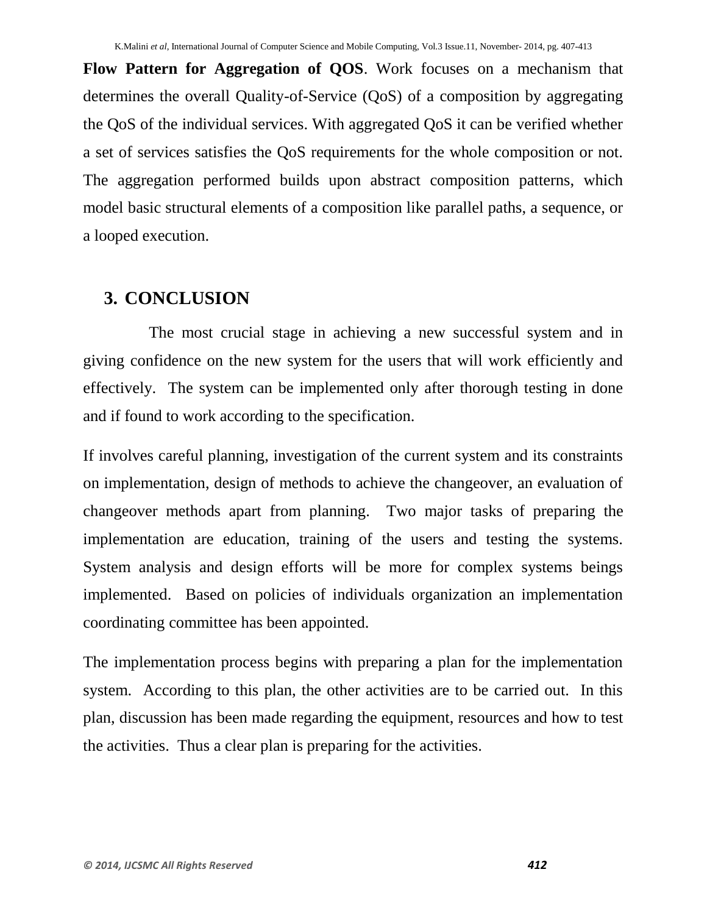**Flow Pattern for Aggregation of QOS**. Work focuses on a mechanism that determines the overall Quality-of-Service (QoS) of a composition by aggregating the QoS of the individual services. With aggregated QoS it can be verified whether a set of services satisfies the QoS requirements for the whole composition or not. The aggregation performed builds upon abstract composition patterns, which model basic structural elements of a composition like parallel paths, a sequence, or a looped execution.

## **3. CONCLUSION**

 The most crucial stage in achieving a new successful system and in giving confidence on the new system for the users that will work efficiently and effectively. The system can be implemented only after thorough testing in done and if found to work according to the specification.

If involves careful planning, investigation of the current system and its constraints on implementation, design of methods to achieve the changeover, an evaluation of changeover methods apart from planning. Two major tasks of preparing the implementation are education, training of the users and testing the systems. System analysis and design efforts will be more for complex systems beings implemented. Based on policies of individuals organization an implementation coordinating committee has been appointed.

The implementation process begins with preparing a plan for the implementation system. According to this plan, the other activities are to be carried out. In this plan, discussion has been made regarding the equipment, resources and how to test the activities. Thus a clear plan is preparing for the activities.